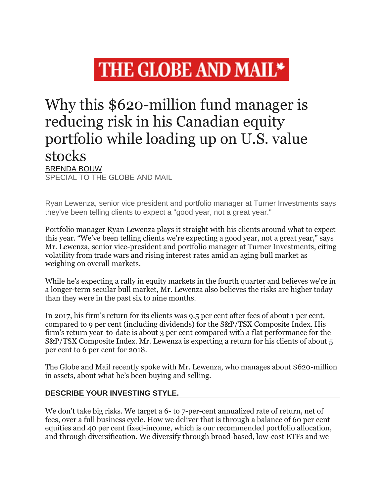# THE GLOBE AND MAIL\*

# Why this \$620-million fund manager is reducing risk in his Canadian equity portfolio while loading up on U.S. value stocks [BRENDA BOUW](https://www.theglobeandmail.com/authors/brenda-bouw/)

SPECIAL TO THE GLOBE AND MAIL

Ryan Lewenza, senior vice president and portfolio manager at Turner Investments says they've been telling clients to expect a "good year, not a great year."

Portfolio manager Ryan Lewenza plays it straight with his clients around what to expect this year. "We've been telling clients we're expecting a good year, not a great year," says Mr. Lewenza, senior vice-president and portfolio manager at Turner Investments, citing volatility from trade wars and rising interest rates amid an aging bull market as weighing on overall markets.

While he's expecting a rally in equity markets in the fourth quarter and believes we're in a longer-term secular bull market, Mr. Lewenza also believes the risks are higher today than they were in the past six to nine months.

In 2017, his firm's return for its clients was 9.5 per cent after fees of about 1 per cent, compared to 9 per cent (including dividends) for the S&P/TSX Composite Index. His firm's return year-to-date is about 3 per cent compared with a flat performance for the S&P/TSX Composite Index. Mr. Lewenza is expecting a return for his clients of about 5 per cent to 6 per cent for 2018.

The Globe and Mail recently spoke with Mr. Lewenza, who manages about \$620-million in assets, about what he's been buying and selling.

#### **DESCRIBE YOUR INVESTING STYLE.**

We don't take big risks. We target a 6- to 7-per-cent annualized rate of return, net of fees, over a full business cycle. How we deliver that is through a balance of 60 per cent equities and 40 per cent fixed-income, which is our recommended portfolio allocation, and through diversification. We diversify through broad-based, low-cost ETFs and we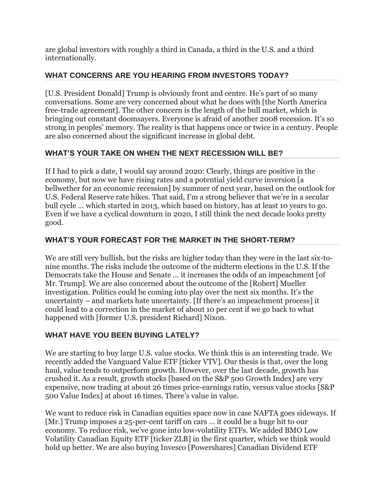are global investors with roughly a third in Canada, a third in the U.S. and a third internationally.

### **WHAT CONCERNS ARE YOU HEARING FROM INVESTORS TODAY?**

[U.S. President Donald] Trump is obviously front and centre. He's part of so many conversations. Some are very concerned about what he does with [the North America free-trade agreement]. The other concern is the length of the bull market, which is bringing out constant doomsayers. Everyone is afraid of another 2008 recession. It's so strong in peoples' memory. The reality is that happens once or twice in a century. People are also concerned about the significant increase in global debt.

# **WHAT'S YOUR TAKE ON WHEN THE NEXT RECESSION WILL BE?**

If I had to pick a date, I would say around 2020: Clearly, things are positive in the economy, but now we have rising rates and a potential yield curve inversion [a bellwether for an economic recession] by summer of next year, based on the outlook for U.S. Federal Reserve rate hikes. That said, I'm a strong believer that we're in a secular bull cycle … which started in 2013, which based on history, has at least 10 years to go. Even if we have a cyclical downturn in 2020, I still think the next decade looks pretty good.

# **WHAT'S YOUR FORECAST FOR THE MARKET IN THE SHORT-TERM?**

We are still very bullish, but the risks are higher today than they were in the last six-tonine months. The risks include the outcome of the midterm elections in the U.S. If the Democrats take the House and Senate … it increases the odds of an impeachment [of Mr. Trump]. We are also concerned about the outcome of the [Robert] Mueller investigation. Politics could be coming into play over the next six months. It's the uncertainty – and markets hate uncertainty. [If there's an impeachment process] it could lead to a correction in the market of about 10 per cent if we go back to what happened with [former U.S. president Richard] Nixon.

#### **WHAT HAVE YOU BEEN BUYING LATELY?**

We are starting to buy large U.S. value stocks. We think this is an interesting trade. We recently added the Vanguard Value ETF [ticker VTV]. Our thesis is that, over the long haul, value tends to outperform growth. However, over the last decade, growth has crushed it. As a result, growth stocks [based on the S&P 500 Growth Index] are very expensive, now trading at about 26 times price-earnings ratio, versus value stocks [S&P 500 Value Index] at about 16 times. There's value in value.

We want to reduce risk in Canadian equities space now in case NAFTA goes sideways. If [Mr.] Trump imposes a 25-per-cent tariff on cars … it could be a huge hit to our economy. To reduce risk, we've gone into low-volatility ETFs. We added BMO Low Volatility Canadian Equity ETF [ticker ZLB] in the first quarter, which we think would hold up better. We are also buying Invesco [Powershares] Canadian Dividend ETF